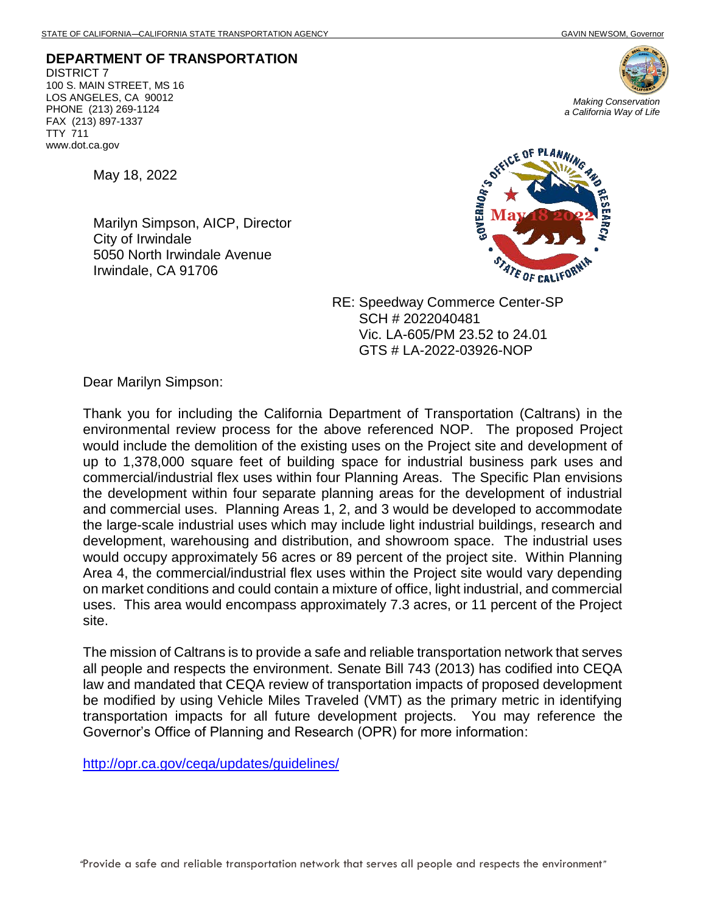**DEPARTMENT OF TRANSPORTATION** DISTRICT 7 100 S. MAIN STREET, MS 16 LOS ANGELES, CA 90012 PHONE (213) 269-1124 FAX (213) 897-1337 TTY 711 www.dot.ca.gov



May 18, 2022

Marilyn Simpson, AICP, Director City of Irwindale 5050 North Irwindale Avenue Irwindale, CA 91706



RE: Speedway Commerce Center-SP SCH # 2022040481 Vic. LA-605/PM 23.52 to 24.01 GTS # LA-2022-03926-NOP

Dear Marilyn Simpson:

Thank you for including the California Department of Transportation (Caltrans) in the environmental review process for the above referenced NOP. The proposed Project would include the demolition of the existing uses on the Project site and development of up to 1,378,000 square feet of building space for industrial business park uses and commercial/industrial flex uses within four Planning Areas. The Specific Plan envisions the development within four separate planning areas for the development of industrial and commercial uses. Planning Areas 1, 2, and 3 would be developed to accommodate the large-scale industrial uses which may include light industrial buildings, research and development, warehousing and distribution, and showroom space. The industrial uses would occupy approximately 56 acres or 89 percent of the project site. Within Planning Area 4, the commercial/industrial flex uses within the Project site would vary depending on market conditions and could contain a mixture of office, light industrial, and commercial uses. This area would encompass approximately 7.3 acres, or 11 percent of the Project site.

The mission of Caltrans is to provide a safe and reliable transportation network that serves all people and respects the environment. Senate Bill 743 (2013) has codified into CEQA law and mandated that CEQA review of transportation impacts of proposed development be modified by using Vehicle Miles Traveled (VMT) as the primary metric in identifying transportation impacts for all future development projects. You may reference the Governor's Office of Planning and Research (OPR) for more information:

<http://opr.ca.gov/ceqa/updates/guidelines/>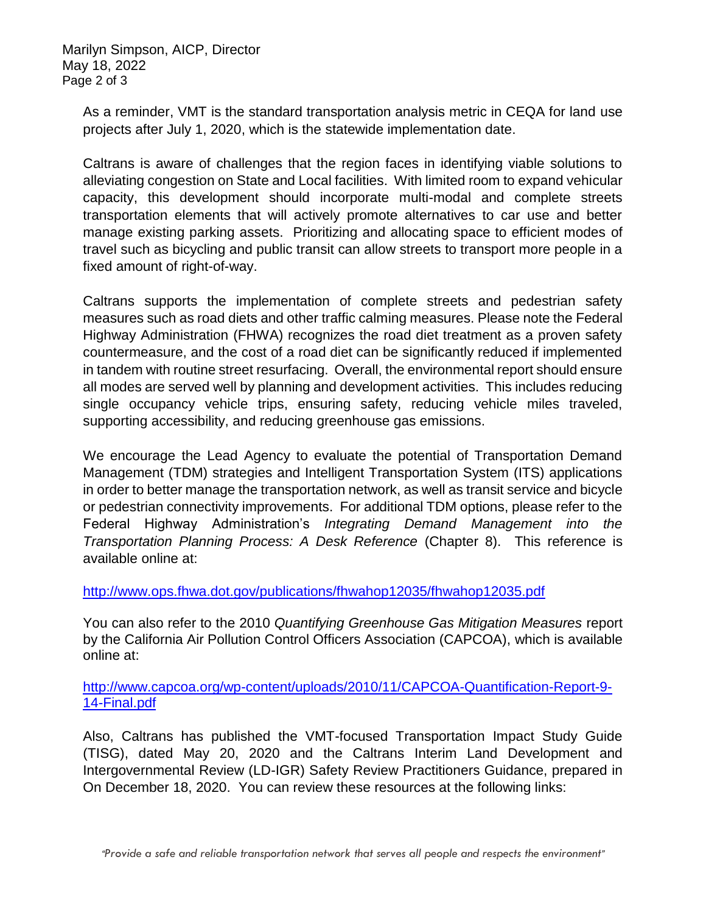Marilyn Simpson, AICP, Director May 18, 2022 Page 2 of 3

As a reminder, VMT is the standard transportation analysis metric in CEQA for land use projects after July 1, 2020, which is the statewide implementation date.

Caltrans is aware of challenges that the region faces in identifying viable solutions to alleviating congestion on State and Local facilities. With limited room to expand vehicular capacity, this development should incorporate multi-modal and complete streets transportation elements that will actively promote alternatives to car use and better manage existing parking assets. Prioritizing and allocating space to efficient modes of travel such as bicycling and public transit can allow streets to transport more people in a fixed amount of right-of-way.

Caltrans supports the implementation of complete streets and pedestrian safety measures such as road diets and other traffic calming measures. Please note the Federal Highway Administration (FHWA) recognizes the road diet treatment as a proven safety countermeasure, and the cost of a road diet can be significantly reduced if implemented in tandem with routine street resurfacing. Overall, the environmental report should ensure all modes are served well by planning and development activities. This includes reducing single occupancy vehicle trips, ensuring safety, reducing vehicle miles traveled, supporting accessibility, and reducing greenhouse gas emissions.

We encourage the Lead Agency to evaluate the potential of Transportation Demand Management (TDM) strategies and Intelligent Transportation System (ITS) applications in order to better manage the transportation network, as well as transit service and bicycle or pedestrian connectivity improvements. For additional TDM options, please refer to the Federal Highway Administration's *Integrating Demand Management into the Transportation Planning Process: A Desk Reference* (Chapter 8).This reference is available online at:

## <http://www.ops.fhwa.dot.gov/publications/fhwahop12035/fhwahop12035.pdf>

You can also refer to the 2010 *Quantifying Greenhouse Gas Mitigation Measures* report by the California Air Pollution Control Officers Association (CAPCOA), which is available online at:

[http://www.capcoa.org/wp-content/uploads/2010/11/CAPCOA-Quantification-Report-9-](http://www.capcoa.org/wp-content/uploads/2010/11/CAPCOA-Quantification-Report-9-14-Final.pdf) [14-Final.pdf](http://www.capcoa.org/wp-content/uploads/2010/11/CAPCOA-Quantification-Report-9-14-Final.pdf)

Also, Caltrans has published the VMT-focused Transportation Impact Study Guide (TISG), dated May 20, 2020 and the Caltrans Interim Land Development and Intergovernmental Review (LD-IGR) Safety Review Practitioners Guidance, prepared in On December 18, 2020. You can review these resources at the following links: